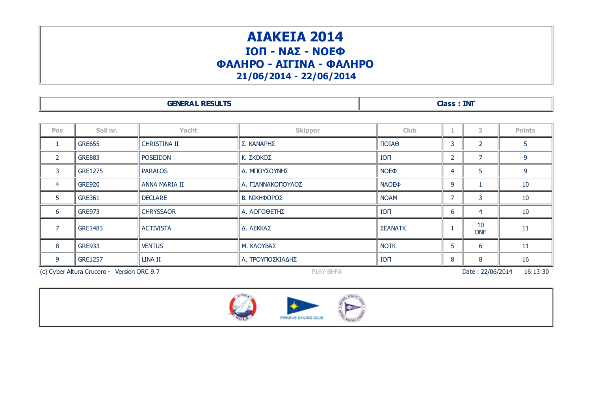## ΑΙΑΚΕΙΑ 2014 ΙΟΠ - ΝΑΣ - ΝΟΕΦ ΦΑΛΗΡΟ - ΑΙΓΙΝΑ - ΦΑΛΗΡΟ 21/06/2014 - 22/06/2014

| <b>GENERAL RESULTS</b> | <b>INT</b><br>es de la |
|------------------------|------------------------|
|------------------------|------------------------|

| <b>Pos</b>                                                                  | Sail nr.       | Yacht            | <b>Skipper</b>    | <b>Club</b>            | 1                        |                          | <b>Points</b> |
|-----------------------------------------------------------------------------|----------------|------------------|-------------------|------------------------|--------------------------|--------------------------|---------------|
|                                                                             | <b>GRE655</b>  | CHRISTINA II     | Σ. ΚΑΝΑΡΗΣ        | <b>OAION</b>           | 3                        | $\overline{\phantom{a}}$ |               |
| $\overline{2}$                                                              | <b>GRE883</b>  | <b>POSEIDON</b>  | Κ. ΣΚΟΚΟΣ         | <b>ION</b>             | 2                        |                          | 9             |
| 3                                                                           | <b>GRE1275</b> | <b>PARALOS</b>   | Δ. ΜΠΟΥΣΟΥΝΗΣ     | <b>NOE</b> <sup></sup> | 4                        | 5                        | 9             |
| 4                                                                           | <b>GRE920</b>  | ANNA MARIA II    | Α. ΓΙΑΝΝΑΚΟΠΟΥΛΟΣ | <b>NAOEO</b>           | 9                        |                          | 10            |
| 5                                                                           | <b>GRE361</b>  | <b>DECLARE</b>   | Β. ΝΙΚΗΦΟΡΟΣ      | <b>NOAM</b>            | $\overline{\phantom{a}}$ | 3                        | 10            |
| 6                                                                           | <b>GRE973</b>  | <b>CHRYSSAOR</b> | Α. ΛΟΓΟΘΕΤΗΣ      | <b>ION</b>             | 6                        | $\overline{4}$           | 10            |
| 7                                                                           | <b>GRE1483</b> | <b>ACTIVISTA</b> | Δ. ΛΕΚΚΑΣ         | <b>ΣΕΑΝΑΤΚ</b>         |                          | 10<br><b>DNF</b>         | 11            |
| 8                                                                           | <b>GRE933</b>  | <b>VENTUS</b>    | Μ. ΚΛΟΥΒΑΣ        | <b>NOTK</b>            | 5                        | 6                        | 11            |
| 9                                                                           | <b>GRE1257</b> | LINA II          | Λ. ΤΡΟΥΠΟΣΚΙΑΔΗΣ  | <b>ION</b>             | 8                        | 8                        | 16            |
| (c) Cyber Altura Crucero - Version ORC 9.7<br>Date: 22/06/2014<br>P16Y-BHFA |                |                  |                   |                        |                          |                          | 16:13:30      |



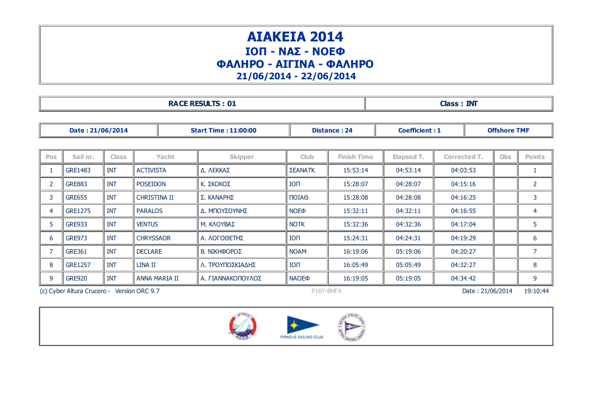## ΑΙΑΚΕΙΑ 2014 ΙΟΠ - ΝΑΣ - ΝΟΕΦ ΦΑΛΗΡΟ - ΑΙΓΙΝΑ - ΦΑΛΗΡΟ 21/06/2014 - 22/06/2014

RACE RESULTS : 01 Class : INT

| Date: 21/06/2014 |                |              |                     |       | <b>Start Time: 11:00:00</b> |                             | <b>Distance: 24</b> | <b>Coefficient: 1</b> | <b>Offshore TMF</b> |          |            |                |  |   |
|------------------|----------------|--------------|---------------------|-------|-----------------------------|-----------------------------|---------------------|-----------------------|---------------------|----------|------------|----------------|--|---|
|                  |                |              |                     |       |                             |                             |                     |                       |                     |          |            |                |  |   |
| Pos              | Sail nr.       | <b>Class</b> |                     | Yacht | <b>Skipper</b>              | <b>Club</b>                 | <b>Finish Time</b>  | Elapsed T.            | <b>Corrected T.</b> |          | <b>Obs</b> | <b>Points</b>  |  |   |
|                  | <b>GRE1483</b> | <b>INT</b>   | <b>ACTIVISTA</b>    |       | Δ. ΛΕΚΚΑΣ                   | <b>ΣΕΑΝΑΤΚ</b>              | 15:53:14            | 04:53:14              | 04:03:53            |          |            |                |  |   |
|                  | <b>GRE883</b>  | <b>INT</b>   | <b>POSEIDON</b>     |       | Κ. ΣΚΟΚΟΣ                   | <b>ION</b>                  | 15:28:07            | 04:28:07              |                     | 04:15:16 |            |                |  | 2 |
| 3                | <b>GRE655</b>  | <b>INT</b>   | <b>CHRISTINA II</b> |       | Σ. ΚΑΝΑΡΗΣ                  | $\overline{101}$ A $\Theta$ | 15:28:08            | 04:28:08              |                     | 04:16:25 |            | 3              |  |   |
| $\overline{4}$   | <b>GRE1275</b> | <b>INT</b>   | <b>PARALOS</b>      |       | Δ. ΜΠΟΥΣΟΥΝΗΣ               | <b>NOE</b> <sup></sup>      | 15:32:11            | 04:32:11              | 04:16:55            |          |            | 4              |  |   |
| 5                | <b>GRE933</b>  | <b>INT</b>   | <b>VENTUS</b>       |       | Μ. ΚΛΟΥΒΑΣ                  | <b>NOTK</b>                 | 15:32:36            | 04:32:36              | 04:17:04            |          |            | 5              |  |   |
| 6                | <b>GRE973</b>  | <b>INT</b>   | <b>CHRYSSAOR</b>    |       | Α. ΛΟΓΟΘΕΤΗΣ                | <b>ION</b>                  | 15:24:31            | 04:24:31              | 04:19:29            |          |            | 6              |  |   |
|                  | <b>GRE361</b>  | <b>INT</b>   | <b>DECLARE</b>      |       | Β. ΝΙΚΗΦΟΡΟΣ                | <b>NOAM</b>                 | 16:19:06            | 05:19:06              | 04:20:27            |          |            | $\overline{7}$ |  |   |
| 8                | <b>GRE1257</b> | <b>INT</b>   | LINA II             |       | Λ. ΤΡΟΥΠΟΣΚΙΑΔΗΣ            | <b>ION</b>                  | 16:05:49            | 05:05:49              | 04:32:27            |          |            | 8              |  |   |
| 9                | <b>GRE920</b>  | <b>INT</b>   | ANNA MARIA II       |       | Α. ΓΙΑΝΝΑΚΟΠΟΥΛΟΣ           | <b>NAOEO</b>                | 16:19:05            | 05:19:05              | 04:34:42            |          |            | 9              |  |   |

(c) Cyber Altura Crucero - Version ORC 9.7 P16Y-BHFA P16Y-BHFA Date : 21/06/2014 19:10:44